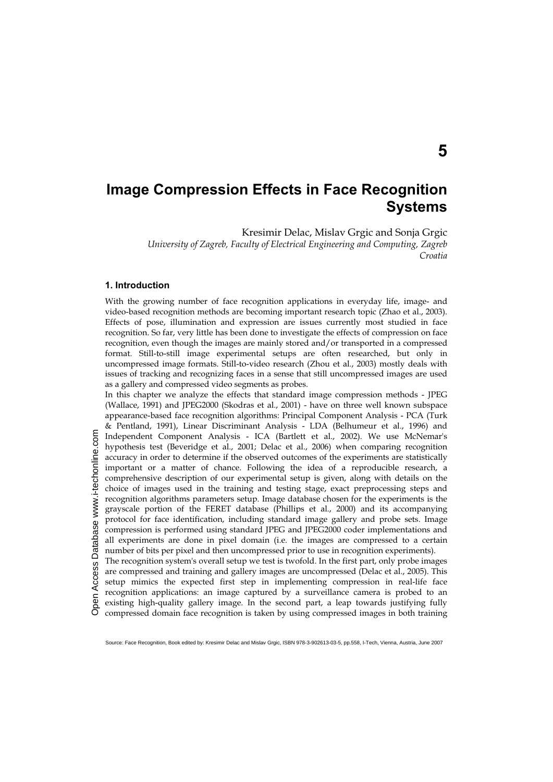# **Image Compression Effects in Face Recognition Systems**

Kresimir Delac, Mislav Grgic and Sonja Grgic *University of Zagreb, Faculty of Electrical Engineering and Computing, Zagreb Croatia*

# **1. Introduction**

With the growing number of face recognition applications in everyday life, image- and video-based recognition methods are becoming important research topic (Zhao et al., 2003). Effects of pose, illumination and expression are issues currently most studied in face recognition. So far, very little has been done to investigate the effects of compression on face recognition, even though the images are mainly stored and/or transported in a compressed format. Still-to-still image experimental setups are often researched, but only in uncompressed image formats. Still-to-video research (Zhou et al., 2003) mostly deals with issues of tracking and recognizing faces in a sense that still uncompressed images are used as a gallery and compressed video segments as probes.

In this chapter we analyze the effects that standard image compression methods - JPEG (Wallace, 1991) and JPEG2000 (Skodras et al., 2001) - have on three well known subspace appearance-based face recognition algorithms: Principal Component Analysis - PCA (Turk & Pentland, 1991), Linear Discriminant Analysis - LDA (Belhumeur et al., 1996) and Independent Component Analysis - ICA (Bartlett et al., 2002). We use McNemar's hypothesis test (Beveridge et al., 2001; Delac et al., 2006) when comparing recognition accuracy in order to determine if the observed outcomes of the experiments are statistically important or a matter of chance. Following the idea of a reproducible research, a comprehensive description of our experimental setup is given, along with details on the choice of images used in the training and testing stage, exact preprocessing steps and recognition algorithms parameters setup. Image database chosen for the experiments is the grayscale portion of the FERET database (Phillips et al., 2000) and its accompanying protocol for face identification, including standard image gallery and probe sets. Image compression is performed using standard JPEG and JPEG2000 coder implementations and all experiments are done in pixel domain (i.e. the images are compressed to a certain number of bits per pixel and then uncompressed prior to use in recognition experiments).

The recognition system's overall setup we test is twofold. In the first part, only probe images are compressed and training and gallery images are uncompressed (Delac et al., 2005). This setup mimics the expected first step in implementing compression in real-life face recognition applications: an image captured by a surveillance camera is probed to an existing high-quality gallery image. In the second part, a leap towards justifying fully compressed domain face recognition is taken by using compressed images in both training

COM

**5**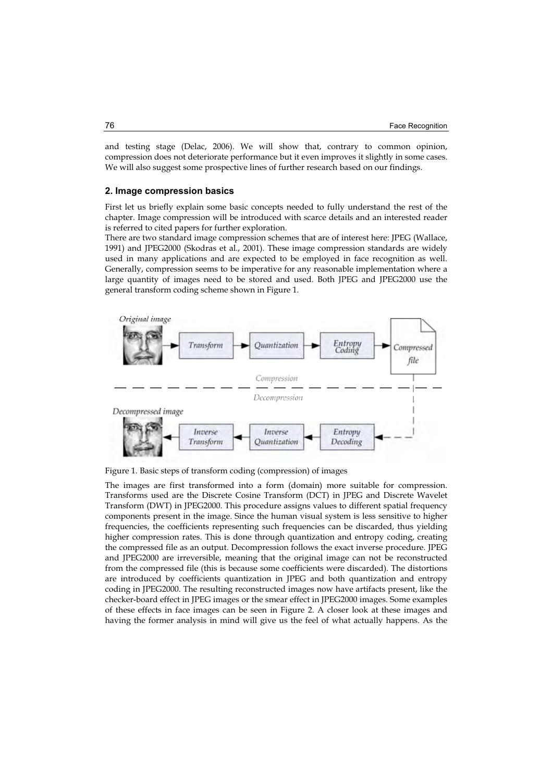and testing stage (Delac, 2006). We will show that, contrary to common opinion, compression does not deteriorate performance but it even improves it slightly in some cases. We will also suggest some prospective lines of further research based on our findings.

## **2. Image compression basics**

First let us briefly explain some basic concepts needed to fully understand the rest of the chapter. Image compression will be introduced with scarce details and an interested reader is referred to cited papers for further exploration.

There are two standard image compression schemes that are of interest here: JPEG (Wallace, 1991) and JPEG2000 (Skodras et al., 2001). These image compression standards are widely used in many applications and are expected to be employed in face recognition as well. Generally, compression seems to be imperative for any reasonable implementation where a large quantity of images need to be stored and used. Both JPEG and JPEG2000 use the general transform coding scheme shown in Figure 1.



Figure 1. Basic steps of transform coding (compression) of images

The images are first transformed into a form (domain) more suitable for compression. Transforms used are the Discrete Cosine Transform (DCT) in JPEG and Discrete Wavelet Transform (DWT) in JPEG2000. This procedure assigns values to different spatial frequency components present in the image. Since the human visual system is less sensitive to higher frequencies, the coefficients representing such frequencies can be discarded, thus yielding higher compression rates. This is done through quantization and entropy coding, creating the compressed file as an output. Decompression follows the exact inverse procedure. JPEG and JPEG2000 are irreversible, meaning that the original image can not be reconstructed from the compressed file (this is because some coefficients were discarded). The distortions are introduced by coefficients quantization in JPEG and both quantization and entropy coding in JPEG2000. The resulting reconstructed images now have artifacts present, like the checker-board effect in JPEG images or the smear effect in JPEG2000 images. Some examples of these effects in face images can be seen in Figure 2. A closer look at these images and having the former analysis in mind will give us the feel of what actually happens. As the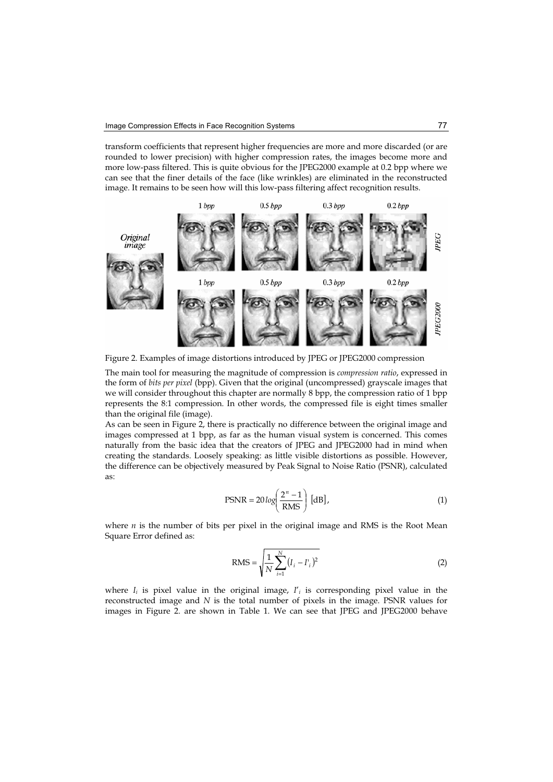transform coefficients that represent higher frequencies are more and more discarded (or are rounded to lower precision) with higher compression rates, the images become more and more low-pass filtered. This is quite obvious for the JPEG2000 example at 0.2 bpp where we can see that the finer details of the face (like wrinkles) are eliminated in the reconstructed image. It remains to be seen how will this low-pass filtering affect recognition results.



Figure 2. Examples of image distortions introduced by JPEG or JPEG2000 compression

The main tool for measuring the magnitude of compression is *compression ratio*, expressed in the form of *bits per pixel* (bpp). Given that the original (uncompressed) grayscale images that we will consider throughout this chapter are normally 8 bpp, the compression ratio of 1 bpp represents the 8:1 compression. In other words, the compressed file is eight times smaller than the original file (image).

As can be seen in Figure 2, there is practically no difference between the original image and images compressed at 1 bpp, as far as the human visual system is concerned. This comes naturally from the basic idea that the creators of JPEG and JPEG2000 had in mind when creating the standards. Loosely speaking: as little visible distortions as possible. However, the difference can be objectively measured by Peak Signal to Noise Ratio (PSNR), calculated as:

$$
PSNR = 20 \log \left(\frac{2^n - 1}{RMS}\right) [dB],
$$
\n(1)

where  $n$  is the number of bits per pixel in the original image and RMS is the Root Mean Square Error defined as:

RMS = 
$$
\sqrt{\frac{1}{N} \sum_{i=1}^{N} (I_i - I'_i)^2}
$$
 (2)

where  $I_i$  is pixel value in the original image,  $I'_i$  is corresponding pixel value in the reconstructed image and *N* is the total number of pixels in the image. PSNR values for images in Figure 2. are shown in Table 1. We can see that JPEG and JPEG2000 behave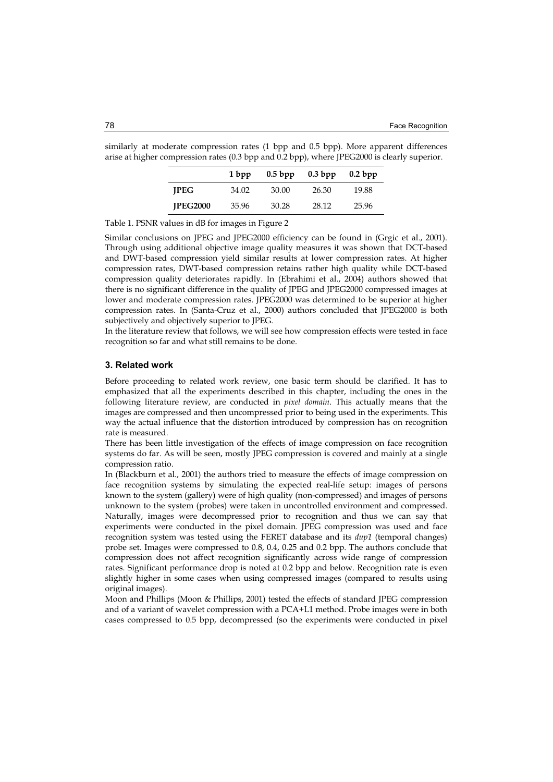similarly at moderate compression rates (1 bpp and 0.5 bpp). More apparent differences arise at higher compression rates (0.3 bpp and 0.2 bpp), where JPEG2000 is clearly superior.

|                 | 1 bpp | $0.5$ bpp | 0.3 bpp | $0.2$ bpp |
|-----------------|-------|-----------|---------|-----------|
| <b>IPEG</b>     | 34.02 | 30.00     | 26.30   | 19.88     |
| <b>IPEG2000</b> | 35.96 | 30.28     | 28.12   | 25.96     |

Table 1. PSNR values in dB for images in Figure 2

Similar conclusions on JPEG and JPEG2000 efficiency can be found in (Grgic et al., 2001). Through using additional objective image quality measures it was shown that DCT-based and DWT-based compression yield similar results at lower compression rates. At higher compression rates, DWT-based compression retains rather high quality while DCT-based compression quality deteriorates rapidly. In (Ebrahimi et al., 2004) authors showed that there is no significant difference in the quality of JPEG and JPEG2000 compressed images at lower and moderate compression rates. JPEG2000 was determined to be superior at higher compression rates. In (Santa-Cruz et al., 2000) authors concluded that JPEG2000 is both subjectively and objectively superior to JPEG.

In the literature review that follows, we will see how compression effects were tested in face recognition so far and what still remains to be done.

# **3. Related work**

Before proceeding to related work review, one basic term should be clarified. It has to emphasized that all the experiments described in this chapter, including the ones in the following literature review, are conducted in *pixel domain*. This actually means that the images are compressed and then uncompressed prior to being used in the experiments. This way the actual influence that the distortion introduced by compression has on recognition rate is measured.

There has been little investigation of the effects of image compression on face recognition systems do far. As will be seen, mostly JPEG compression is covered and mainly at a single compression ratio.

In (Blackburn et al., 2001) the authors tried to measure the effects of image compression on face recognition systems by simulating the expected real-life setup: images of persons known to the system (gallery) were of high quality (non-compressed) and images of persons unknown to the system (probes) were taken in uncontrolled environment and compressed. Naturally, images were decompressed prior to recognition and thus we can say that experiments were conducted in the pixel domain. JPEG compression was used and face recognition system was tested using the FERET database and its *dup1* (temporal changes) probe set. Images were compressed to 0.8, 0.4, 0.25 and 0.2 bpp. The authors conclude that compression does not affect recognition significantly across wide range of compression rates. Significant performance drop is noted at 0.2 bpp and below. Recognition rate is even slightly higher in some cases when using compressed images (compared to results using original images).

Moon and Phillips (Moon & Phillips, 2001) tested the effects of standard JPEG compression and of a variant of wavelet compression with a PCA+L1 method. Probe images were in both cases compressed to 0.5 bpp, decompressed (so the experiments were conducted in pixel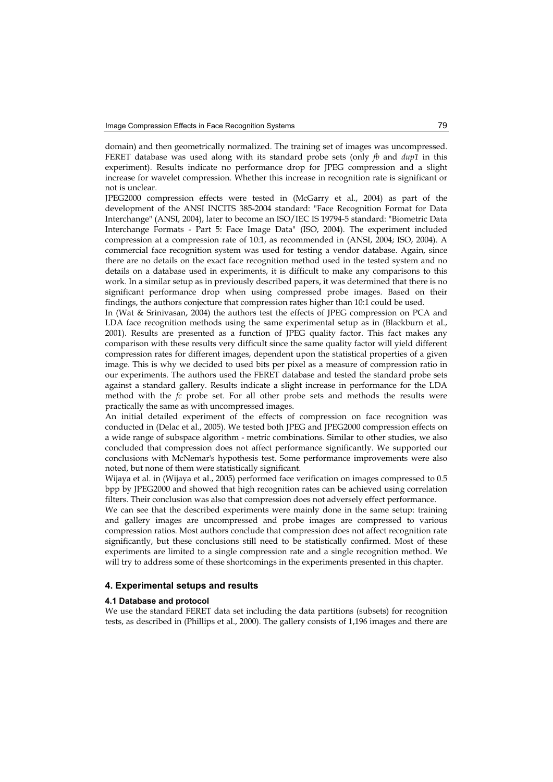domain) and then geometrically normalized. The training set of images was uncompressed. FERET database was used along with its standard probe sets (only *fb* and *dup1* in this experiment). Results indicate no performance drop for JPEG compression and a slight increase for wavelet compression. Whether this increase in recognition rate is significant or not is unclear.

JPEG2000 compression effects were tested in (McGarry et al., 2004) as part of the development of the ANSI INCITS 385-2004 standard: "Face Recognition Format for Data Interchange" (ANSI, 2004), later to become an ISO/IEC IS 19794-5 standard: "Biometric Data Interchange Formats - Part 5: Face Image Data" (ISO, 2004). The experiment included compression at a compression rate of 10:1, as recommended in (ANSI, 2004; ISO, 2004). A commercial face recognition system was used for testing a vendor database. Again, since there are no details on the exact face recognition method used in the tested system and no details on a database used in experiments, it is difficult to make any comparisons to this work. In a similar setup as in previously described papers, it was determined that there is no significant performance drop when using compressed probe images. Based on their findings, the authors conjecture that compression rates higher than 10:1 could be used.

In (Wat & Srinivasan, 2004) the authors test the effects of JPEG compression on PCA and LDA face recognition methods using the same experimental setup as in (Blackburn et al., 2001). Results are presented as a function of JPEG quality factor. This fact makes any comparison with these results very difficult since the same quality factor will yield different compression rates for different images, dependent upon the statistical properties of a given image. This is why we decided to used bits per pixel as a measure of compression ratio in our experiments. The authors used the FERET database and tested the standard probe sets against a standard gallery. Results indicate a slight increase in performance for the LDA method with the *fc* probe set. For all other probe sets and methods the results were practically the same as with uncompressed images.

An initial detailed experiment of the effects of compression on face recognition was conducted in (Delac et al., 2005). We tested both JPEG and JPEG2000 compression effects on a wide range of subspace algorithm - metric combinations. Similar to other studies, we also concluded that compression does not affect performance significantly. We supported our conclusions with McNemar's hypothesis test. Some performance improvements were also noted, but none of them were statistically significant.

Wijaya et al. in (Wijaya et al., 2005) performed face verification on images compressed to 0.5 bpp by JPEG2000 and showed that high recognition rates can be achieved using correlation filters. Their conclusion was also that compression does not adversely effect performance.

We can see that the described experiments were mainly done in the same setup: training and gallery images are uncompressed and probe images are compressed to various compression ratios. Most authors conclude that compression does not affect recognition rate significantly, but these conclusions still need to be statistically confirmed. Most of these experiments are limited to a single compression rate and a single recognition method. We will try to address some of these shortcomings in the experiments presented in this chapter.

# **4. Experimental setups and results**

#### **4.1 Database and protocol**

We use the standard FERET data set including the data partitions (subsets) for recognition tests, as described in (Phillips et al., 2000). The gallery consists of 1,196 images and there are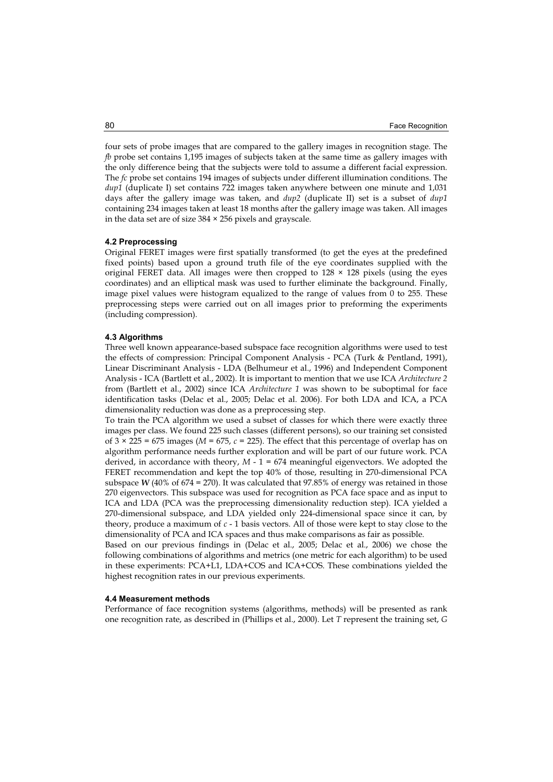four sets of probe images that are compared to the gallery images in recognition stage. The *fb* probe set contains 1,195 images of subjects taken at the same time as gallery images with the only difference being that the subjects were told to assume a different facial expression. The *fc* probe set contains 194 images of subjects under different illumination conditions. The *dup1* (duplicate I) set contains 722 images taken anywhere between one minute and 1,031 days after the gallery image was taken, and *dup2* (duplicate II) set is a subset of *dup1* containing 234 images taken at least 18 months after the gallery image was taken. All images in the data set are of size 384 × 256 pixels and grayscale.

## **4.2 Preprocessing**

Original FERET images were first spatially transformed (to get the eyes at the predefined fixed points) based upon a ground truth file of the eye coordinates supplied with the original FERET data. All images were then cropped to  $128 \times 128$  pixels (using the eyes coordinates) and an elliptical mask was used to further eliminate the background. Finally, image pixel values were histogram equalized to the range of values from 0 to 255. These preprocessing steps were carried out on all images prior to preforming the experiments (including compression).

#### **4.3 Algorithms**

Three well known appearance-based subspace face recognition algorithms were used to test the effects of compression: Principal Component Analysis - PCA (Turk & Pentland, 1991), Linear Discriminant Analysis - LDA (Belhumeur et al., 1996) and Independent Component Analysis - ICA (Bartlett et al., 2002). It is important to mention that we use ICA *Architecture 2* from (Bartlett et al., 2002) since ICA *Architecture 1* was shown to be suboptimal for face identification tasks (Delac et al., 2005; Delac et al. 2006). For both LDA and ICA, a PCA dimensionality reduction was done as a preprocessing step.

To train the PCA algorithm we used a subset of classes for which there were exactly three images per class. We found 225 such classes (different persons), so our training set consisted of  $3 \times 225 = 675$  images ( $M = 675$ ,  $c = 225$ ). The effect that this percentage of overlap has on algorithm performance needs further exploration and will be part of our future work. PCA derived, in accordance with theory,  $M - 1 = 674$  meaningful eigenvectors. We adopted the FERET recommendation and kept the top 40% of those, resulting in 270-dimensional PCA subspace *W* (40% of 674 = 270). It was calculated that 97.85% of energy was retained in those 270 eigenvectors. This subspace was used for recognition as PCA face space and as input to ICA and LDA (PCA was the preprocessing dimensionality reduction step). ICA yielded a 270-dimensional subspace, and LDA yielded only 224-dimensional space since it can, by theory, produce a maximum of *c* - 1 basis vectors. All of those were kept to stay close to the dimensionality of PCA and ICA spaces and thus make comparisons as fair as possible.

Based on our previous findings in (Delac et al., 2005; Delac et al., 2006) we chose the following combinations of algorithms and metrics (one metric for each algorithm) to be used in these experiments: PCA+L1, LDA+COS and ICA+COS. These combinations yielded the highest recognition rates in our previous experiments.

#### **4.4 Measurement methods**

Performance of face recognition systems (algorithms, methods) will be presented as rank one recognition rate, as described in (Phillips et al., 2000). Let *T* represent the training set, *G*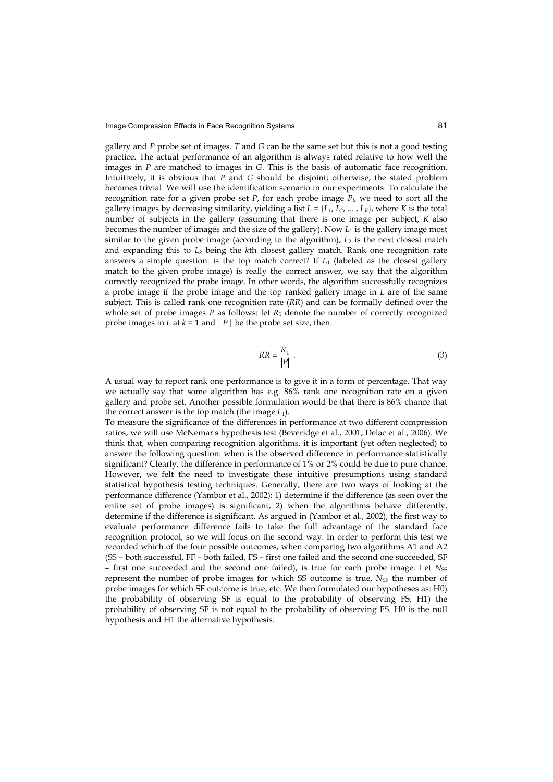gallery and *P* probe set of images. *T* and *G* can be the same set but this is not a good testing practice. The actual performance of an algorithm is always rated relative to how well the images in *P* are matched to images in *G*. This is the basis of automatic face recognition. Intuitively, it is obvious that *P* and *G* should be disjoint; otherwise, the stated problem becomes trivial. We will use the identification scenario in our experiments. To calculate the recognition rate for a given probe set *P*, for each probe image  $P_i$ , we need to sort all the gallery images by decreasing similarity, yielding a list  $L = \{L_1, L_2, \ldots, L_k\}$ , where *K* is the total number of subjects in the gallery (assuming that there is one image per subject, *K* also becomes the number of images and the size of the gallery). Now *L*1 is the gallery image most similar to the given probe image (according to the algorithm),  $L<sub>2</sub>$  is the next closest match and expanding this to  $L_k$  being the  $k$ th closest gallery match. Rank one recognition rate answers a simple question: is the top match correct? If  $L<sub>1</sub>$  (labeled as the closest gallery match to the given probe image) is really the correct answer, we say that the algorithm correctly recognized the probe image. In other words, the algorithm successfully recognizes a probe image if the probe image and the top ranked gallery image in *L* are of the same subject. This is called rank one recognition rate (*RR*) and can be formally defined over the whole set of probe images  $P$  as follows: let  $R_1$  denote the number of correctly recognized probe images in *L* at  $k = 1$  and  $|P|$  be the probe set size, then:

$$
RR = \frac{R_1}{|P|} \tag{3}
$$

A usual way to report rank one performance is to give it in a form of percentage. That way we actually say that some algorithm has e.g. 86% rank one recognition rate on a given gallery and probe set. Another possible formulation would be that there is 86% chance that the correct answer is the top match (the image *L*1).

To measure the significance of the differences in performance at two different compression ratios, we will use McNemar's hypothesis test (Beveridge et al., 2001; Delac et al., 2006). We think that, when comparing recognition algorithms, it is important (yet often neglected) to answer the following question: when is the observed difference in performance statistically significant? Clearly, the difference in performance of 1% or 2% could be due to pure chance. However, we felt the need to investigate these intuitive presumptions using standard statistical hypothesis testing techniques. Generally, there are two ways of looking at the performance difference (Yambor et al., 2002): 1) determine if the difference (as seen over the entire set of probe images) is significant, 2) when the algorithms behave differently, determine if the difference is significant. As argued in (Yambor et al., 2002), the first way to evaluate performance difference fails to take the full advantage of the standard face recognition protocol, so we will focus on the second way. In order to perform this test we recorded which of the four possible outcomes, when comparing two algorithms A1 and A2 (SS – both successful, FF – both failed, FS – first one failed and the second one succeeded, SF – first one succeeded and the second one failed), is true for each probe image. Let  $N_{SS}$ represent the number of probe images for which SS outcome is true,  $N_{SF}$  the number of probe images for which SF outcome is true, etc. We then formulated our hypotheses as: H0) the probability of observing SF is equal to the probability of observing FS; H1) the probability of observing SF is not equal to the probability of observing FS. H0 is the null hypothesis and H1 the alternative hypothesis.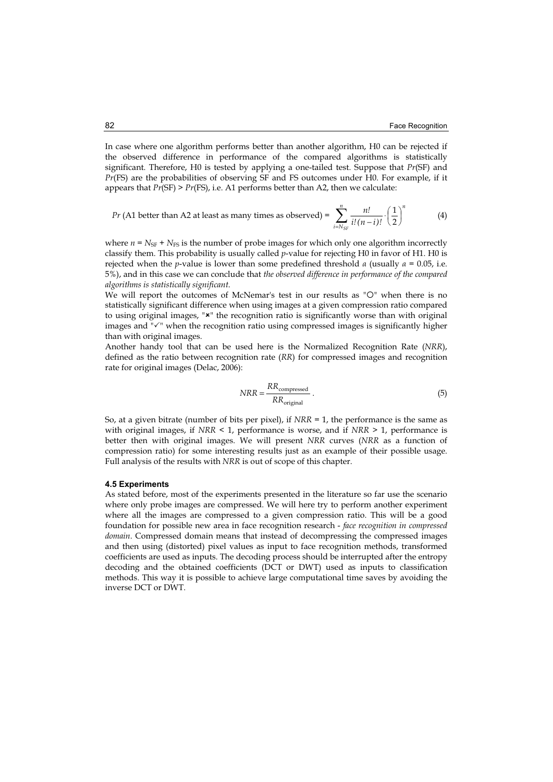In case where one algorithm performs better than another algorithm, H0 can be rejected if the observed difference in performance of the compared algorithms is statistically significant. Therefore, H0 is tested by applying a one-tailed test. Suppose that *Pr*(SF) and *Pr*(FS) are the probabilities of observing SF and FS outcomes under H0. For example, if it appears that *Pr*(SF) > *Pr*(FS), i.e. A1 performs better than A2, then we calculate:

*Pr* (A1 better than A2 at least as many times as observed) = 
$$
\sum_{i=N_{SF}}^{n} \frac{n!}{i!(n-i)!} \cdot \left(\frac{1}{2}\right)^n
$$
 (4)

where  $n = N_{SF} + N_{FS}$  is the number of probe images for which only one algorithm incorrectly classify them. This probability is usually called *p*-value for rejecting H0 in favor of H1. H0 is rejected when the *p*-value is lower than some predefined threshold  $a$  (usually  $a = 0.05$ , i.e. 5%), and in this case we can conclude that *the observed difference in performance of the compared algorithms is statistically significant*.

We will report the outcomes of McNemar's test in our results as "O" when there is no statistically significant difference when using images at a given compression ratio compared to using original images, " $x$ " the recognition ratio is significantly worse than with original images and  $\sqrt{3}$  when the recognition ratio using compressed images is significantly higher than with original images.

Another handy tool that can be used here is the Normalized Recognition Rate (*NRR*), defined as the ratio between recognition rate (*RR*) for compressed images and recognition rate for original images (Delac, 2006):

$$
NRR = \frac{RR_{\text{compressed}}}{RR_{\text{original}}}. \tag{5}
$$

So, at a given bitrate (number of bits per pixel), if *NRR* = 1, the performance is the same as with original images, if *NRR* < 1, performance is worse, and if *NRR* > 1, performance is better then with original images. We will present *NRR* curves (*NRR* as a function of compression ratio) for some interesting results just as an example of their possible usage. Full analysis of the results with *NRR* is out of scope of this chapter.

## **4.5 Experiments**

As stated before, most of the experiments presented in the literature so far use the scenario where only probe images are compressed. We will here try to perform another experiment where all the images are compressed to a given compression ratio. This will be a good foundation for possible new area in face recognition research - *face recognition in compressed domain*. Compressed domain means that instead of decompressing the compressed images and then using (distorted) pixel values as input to face recognition methods, transformed coefficients are used as inputs. The decoding process should be interrupted after the entropy decoding and the obtained coefficients (DCT or DWT) used as inputs to classification methods. This way it is possible to achieve large computational time saves by avoiding the inverse DCT or DWT.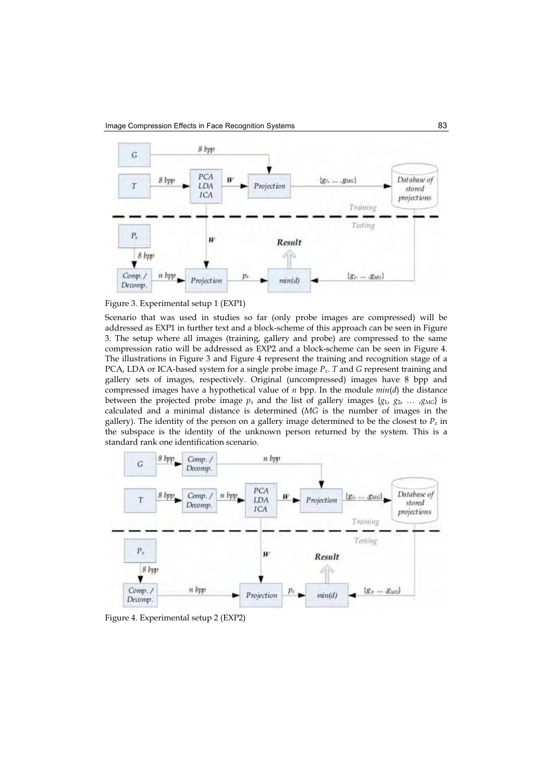



Scenario that was used in studies so far (only probe images are compressed) will be addressed as EXP1 in further text and a block-scheme of this approach can be seen in Figure 3. The setup where all images (training, gallery and probe) are compressed to the same compression ratio will be addressed as EXP2 and a block-scheme can be seen in Figure 4. The illustrations in Figure 3 and Figure 4 represent the training and recognition stage of a PCA, LDA or ICA-based system for a single probe image *Px*. *T* and *G* represent training and gallery sets of images, respectively. Original (uncompressed) images have 8 bpp and compressed images have a hypothetical value of *n* bpp. In the module *min*(*d*) the distance between the projected probe image  $p_x$  and the list of gallery images  $\{g_1, g_2, \ldots, g_{MG}\}$  is calculated and a minimal distance is determined (*MG* is the number of images in the gallery). The identity of the person on a gallery image determined to be the closest to  $P_x$  in the subspace is the identity of the unknown person returned by the system. This is a standard rank one identification scenario.



Figure 4. Experimental setup 2 (EXP2)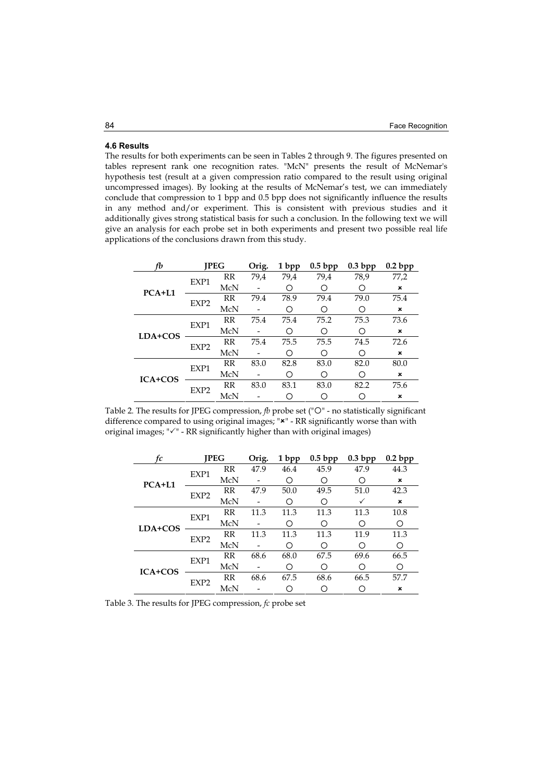# **4.6 Results**

The results for both experiments can be seen in Tables 2 through 9. The figures presented on tables represent rank one recognition rates. "McN" presents the result of McNemar's hypothesis test (result at a given compression ratio compared to the result using original uncompressed images). By looking at the results of McNemar's test, we can immediately conclude that compression to 1 bpp and 0.5 bpp does not significantly influence the results in any method and/or experiment. This is consistent with previous studies and it additionally gives strong statistical basis for such a conclusion. In the following text we will give an analysis for each probe set in both experiments and present two possible real life applications of the conclusions drawn from this study.

| fh        | <b>IPEG</b>      |     | Orig. | 1 bpp | $0.5$ bpp | $0.3$ bpp | $0.2$ bpp |
|-----------|------------------|-----|-------|-------|-----------|-----------|-----------|
|           | EXP1             | RR  | 79,4  | 79,4  | 79,4      | 78,9      | 77,2      |
| $PCA+L1$  |                  | McN |       |       |           |           | ×         |
|           | EXP <sub>2</sub> | RR  | 79.4  | 78.9  | 79.4      | 79.0      | 75.4      |
|           |                  | McN |       | Ω     | ∩         | ∩         | ×         |
|           | EXP1             | RR  | 75.4  | 75.4  | 75.2      | 75.3      | 73.6      |
| LDA+COS   |                  | McN |       |       | ∩         | ∩         | ×         |
|           | EXP <sub>2</sub> | RR  | 75.4  | 75.5  | 75.5      | 74.5      | 72.6      |
|           |                  | McN |       |       |           |           | ×         |
|           | EXP1             | RR  | 83.0  | 82.8  | 83.0      | 82.0      | 80.0      |
| $ICA+COS$ |                  | McN |       |       |           | ◯         | ×         |
|           | EXP <sub>2</sub> | RR  | 83.0  | 83.1  | 83.0      | 82.2      | 75.6      |
|           |                  | McN |       |       |           |           | ×         |

| Table 2. The results for JPEG compression, $\beta$ probe set (" $\circ$ " - no statistically significant |
|----------------------------------------------------------------------------------------------------------|
| difference compared to using original images; " <b>*</b> " - RR significantly worse than with            |
| original images; "✓" - RR significantly higher than with original images)                                |

| fc        | <b>IPEG</b>      |     | Orig. | 1 bpp | 0.5~bp | $0.3$ bpp | 0.2 bpp |
|-----------|------------------|-----|-------|-------|--------|-----------|---------|
|           | EXP1             | RR  | 47.9  | 46.4  | 45.9   | 47.9      | 44.3    |
| $PCA+L1$  |                  | McN |       | ( )   |        |           | ×       |
|           | EXP <sub>2</sub> | RR  | 47.9  | 50.0  | 49.5   | 51.0      | 42.3    |
|           |                  | McN |       |       |        |           | ×       |
|           | EXP1             | RR  | 11.3  | 11.3  | 11.3   | 11.3      | 10.8    |
| LDA+COS   |                  | McN |       |       | ∩      | ∩         | ∩       |
|           | EXP <sub>2</sub> | RR  | 11.3  | 11.3  | 11.3   | 11.9      | 11.3    |
|           |                  | McN |       |       |        | ∩         | ∩       |
|           | EXP1             | RR  | 68.6  | 68.0  | 67.5   | 69.6      | 66.5    |
| $ICA+COS$ |                  | McN |       |       |        |           |         |
|           | EXP <sub>2</sub> | RR  | 68.6  | 67.5  | 68.6   | 66.5      | 57.7    |
|           |                  | McN |       |       |        |           | ×       |

Table 3. The results for JPEG compression, *fc* probe set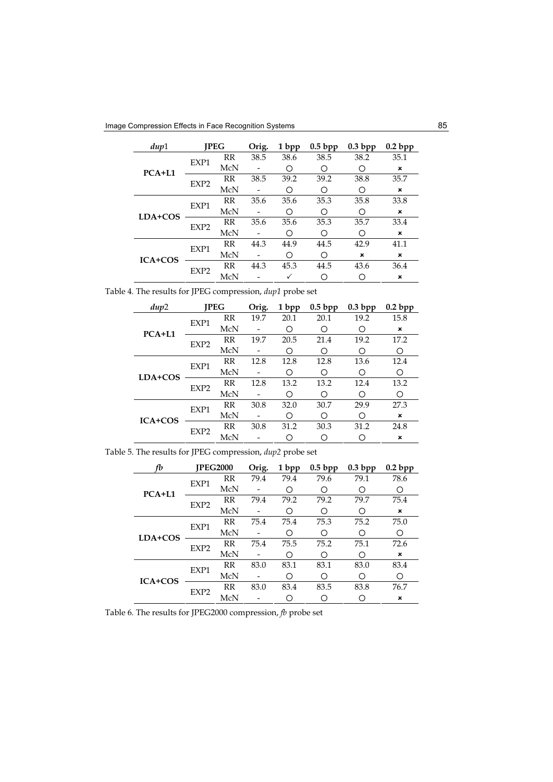Image Compression Effects in Face Recognition Systems 85

| dup1      | <b>IPEG</b>      |     | Orig. | 1 bpp | $0.5$ bpp | $0.3$ bpp | $0.2$ bpp |
|-----------|------------------|-----|-------|-------|-----------|-----------|-----------|
|           | EXP1             | RR  | 38.5  | 38.6  | 38.5      | 38.2      | 35.1      |
| $PCA+L1$  |                  | McN |       |       |           |           | ×         |
|           | EXP <sub>2</sub> | RR  | 38.5  | 39.2  | 39.2      | 38.8      | 35.7      |
|           |                  | McN |       |       |           |           | ×         |
|           | EXP1             | RR  | 35.6  | 35.6  | 35.3      | 35.8      | 33.8      |
| LDA+COS   |                  | McN | -     |       |           |           | ×         |
|           | EXP <sub>2</sub> | RR  | 35.6  | 35.6  | 35.3      | 35.7      | 33.4      |
|           |                  | McN |       |       | ∩         |           | ×         |
|           | EXP1             | RR  | 44.3  | 44.9  | 44.5      | 42.9      | 41.1      |
| $ICA+COS$ |                  | McN |       |       |           | ×         | ×         |
|           | EXP <sub>2</sub> | RR  | 44.3  | 45.3  | 44.5      | 43.6      | 36.4      |
|           |                  | McN |       |       |           |           | ×         |

Table 4. The results for JPEG compression, *dup1* probe set

| dup2      | <b>IPEG</b>      |     | Orig. | 1 bpp | $0.5$ bpp | $0.3$ bpp | $0.2$ bpp |
|-----------|------------------|-----|-------|-------|-----------|-----------|-----------|
|           | EXP1             | RR  | 19.7  | 20.1  | 20.1      | 19.2      | 15.8      |
| $PCA+L1$  |                  | McN |       | Ω     | ◯         |           | ×         |
|           | EXP <sub>2</sub> | RR  | 19.7  | 20.5  | 21.4      | 19.2      | 17.2      |
|           |                  | McN |       | ∩     | ∩         | ∩         | ∩         |
|           | EXP1             | RR  | 12.8  | 12.8  | 12.8      | 13.6      | 12.4      |
| LDA+COS   |                  | McN |       | ∩     | ∩         | ∩         | ∩         |
|           | EXP <sub>2</sub> | RR  | 12.8  | 13.2  | 13.2      | 12.4      | 13.2      |
|           |                  | McN |       | ◯     | ∩         |           |           |
|           | EXP1             | RR  | 30.8  | 32.0  | 30.7      | 29.9      | 27.3      |
| $ICA+COS$ |                  | McN |       | ∩     | ∩         |           | ×         |
|           | EXP <sub>2</sub> | RR  | 30.8  | 31.2  | 30.3      | 31.2      | 24.8      |
|           |                  | McN |       |       |           |           | ×         |

| fh        | <b>IPEG2000</b>  |           | Orig. | 1 bpp | $0.5$ bpp | $0.3$ bpp | $0.2$ bpp   |
|-----------|------------------|-----------|-------|-------|-----------|-----------|-------------|
|           | EXP1             | RR        | 79.4  | 79.4  | 79.6      | 79.1      | 78.6        |
| $PCA+L1$  |                  | McN       |       |       | ⌒         |           |             |
|           | EXP <sub>2</sub> | RR        | 79.4  | 79.2  | 79.2      | 79.7      | 75.4        |
|           |                  | McN       |       |       | ∩         |           | ×           |
|           | EXP1             | RR        | 75.4  | 75.4  | 75.3      | 75.2      | 75.0        |
| LDA+COS   |                  | McN       |       |       |           |           |             |
|           | EXP <sub>2</sub> | <b>RR</b> | 75.4  | 75.5  | 75.2      | 75.1      | 72.6        |
|           |                  | McN       |       |       |           |           | $\mathbf x$ |
|           | EXP1             | <b>RR</b> | 83.0  | 83.1  | 83.1      | 83.0      | 83.4        |
| $ICA+COS$ |                  | McN       |       |       | ∩         |           | O           |
|           | EXP <sub>2</sub> | RR        | 83.0  | 83.4  | 83.5      | 83.8      | 76.7        |
|           |                  | McN       |       |       |           |           | ×           |

Table 6. The results for JPEG2000 compression, *fb* probe set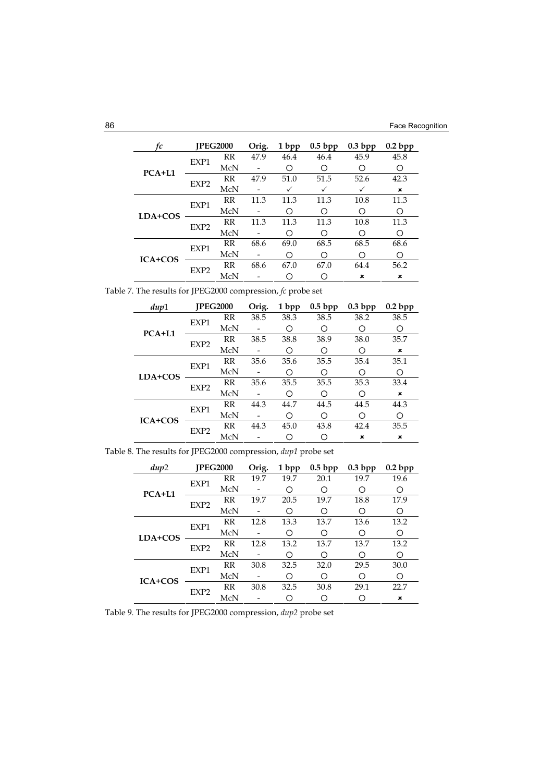| fc        |                  | <b>IPEG2000</b> |      | 1 bpp | $0.5$ bpp | $0.3$ bpp | $0.2$ bpp   |
|-----------|------------------|-----------------|------|-------|-----------|-----------|-------------|
|           | EXP1             | RR              | 47.9 | 46.4  | 46.4      | 45.9      | 45.8        |
| $PCA+I.1$ |                  | McN             |      |       | ∩         | ∩         |             |
|           | EXP <sub>2</sub> | RR              | 47.9 | 51.0  | 51.5      | 52.6      | 42.3        |
|           |                  | McN             | -    |       | ✓         | ✓         | $\mathbf x$ |
|           | EXP1             | RR              | 11.3 | 11.3  | 11.3      | 10.8      | 11.3        |
| $LDA+COS$ |                  | McN             |      |       | ⌒         |           |             |
|           | EXP <sub>2</sub> | RR              | 11.3 | 11.3  | 11.3      | 10.8      | 11.3        |
|           |                  | McN             |      |       |           |           |             |
|           | EXP1             | RR              | 68.6 | 69.0  | 68.5      | 68.5      | 68.6        |
| ICA+COS   |                  | McN             |      |       |           |           |             |
|           | EXP <sub>2</sub> | <b>RR</b>       | 68.6 | 67.0  | 67.0      | 64.4      | 56.2        |
|           |                  | McN             |      |       |           | ×         | ×           |

Table 7. The results for JPEG2000 compression, *fc* probe set

| dup1      | <b>IPEG2000</b>  |     | Orig. | 1 bpp | $0.5$ bpp | $0.3$ bpp | $0.2$ bpp       |
|-----------|------------------|-----|-------|-------|-----------|-----------|-----------------|
|           | EXP1             | RR  | 38.5  | 38.3  | 38.5      | 38.2      | 38.5            |
| $PCA+L1$  |                  | McN |       |       | ∩         |           | ∩               |
|           | EXP <sub>2</sub> | RR  | 38.5  | 38.8  | 38.9      | 38.0      | 35.7            |
|           |                  | McN |       |       | ∩         |           | ×               |
|           | EXP1             | RR  | 35.6  | 35.6  | 35.5      | 35.4      | 35.1            |
| LDA+COS   |                  | McN |       |       | ⌒         |           | $\left(\right)$ |
|           | EXP <sub>2</sub> | RR  | 35.6  | 35.5  | 35.5      | 35.3      | 33.4            |
|           |                  | McN |       |       |           |           | ×               |
|           | EXP1             | RR  | 44.3  | 44.7  | 44.5      | 44.5      | 44.3            |
| $ICA+COS$ |                  | McN |       |       | ∩         |           | ∩               |
|           | EXP <sub>2</sub> | RR  | 44.3  | 45.0  | 43.8      | 42.4      | 35.5            |
|           |                  | McN |       |       |           | ×         | ×               |

| dup2     | <b>IPEG2000</b>  |             | Orig. | 1 bpp | $0.5$ bpp | $0.3$ bpp        | $0.2$ bpp |
|----------|------------------|-------------|-------|-------|-----------|------------------|-----------|
|          | EXP1             | $_{\rm RR}$ | 19.7  | 19.7  | 20.1      | 19.7             | 19.6      |
| $PCA+L1$ |                  | McN         |       |       |           | ∩                | ∩         |
|          | EXP <sub>2</sub> | RR          | 19.7  | 20.5  | 19.7      | 18.8             | 17.9      |
|          |                  | McN         | -     |       |           | ◯                | ( )       |
|          | EXP1             | RR          | 12.8  | 13.3  | 13.7      | 13.6             | 13.2      |
| LDA+COS  |                  | McN         |       |       |           | ∩                | ∩         |
|          | EXP <sub>2</sub> | RR          | 12.8  | 13.2  | 13.7      | 13.7             | 13.2      |
|          |                  | McN         |       |       |           | ∩                | ∩         |
|          | EXP1             | RR          | 30.8  | 32.5  | 32.0      | 29.5             | 30.0      |
| ICA+COS  |                  | McN         |       |       |           | $\left( \right)$ | O         |
|          | EXP <sub>2</sub> | RR          | 30.8  | 32.5  | 30.8      | 29.1             | 22.7      |
|          |                  | McN         |       |       |           |                  | ×         |

Table 9. The results for JPEG2000 compression, *dup2* probe set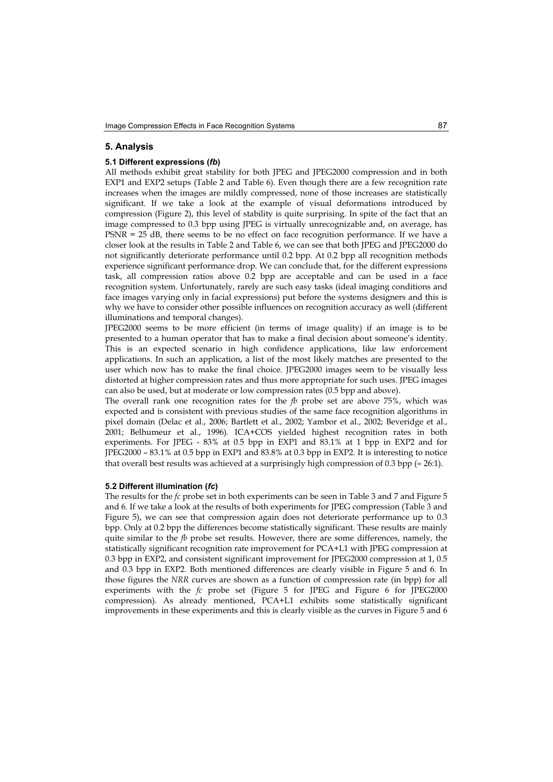# **5. Analysis**

# **5.1 Different expressions (***fb***)**

All methods exhibit great stability for both JPEG and JPEG2000 compression and in both EXP1 and EXP2 setups (Table 2 and Table 6). Even though there are a few recognition rate increases when the images are mildly compressed, none of those increases are statistically significant. If we take a look at the example of visual deformations introduced by compression (Figure 2), this level of stability is quite surprising. In spite of the fact that an image compressed to 0.3 bpp using JPEG is virtually unrecognizable and, on average, has PSNR = 25 dB, there seems to be no effect on face recognition performance. If we have a closer look at the results in Table 2 and Table 6, we can see that both JPEG and JPEG2000 do not significantly deteriorate performance until 0.2 bpp. At 0.2 bpp all recognition methods experience significant performance drop. We can conclude that, for the different expressions task, all compression ratios above 0.2 bpp are acceptable and can be used in a face recognition system. Unfortunately, rarely are such easy tasks (ideal imaging conditions and face images varying only in facial expressions) put before the systems designers and this is why we have to consider other possible influences on recognition accuracy as well (different illuminations and temporal changes).

JPEG2000 seems to be more efficient (in terms of image quality) if an image is to be presented to a human operator that has to make a final decision about someone's identity. This is an expected scenario in high confidence applications, like law enforcement applications. In such an application, a list of the most likely matches are presented to the user which now has to make the final choice. JPEG2000 images seem to be visually less distorted at higher compression rates and thus more appropriate for such uses. JPEG images can also be used, but at moderate or low compression rates (0.5 bpp and above).

The overall rank one recognition rates for the  $fb$  probe set are above 75%, which was expected and is consistent with previous studies of the same face recognition algorithms in pixel domain (Delac et al., 2006; Bartlett et al., 2002; Yambor et al., 2002; Beveridge et al., 2001; Belhumeur et al., 1996). ICA+COS yielded highest recognition rates in both experiments. For JPEG - 83% at 0.5 bpp in EXP1 and 83.1% at 1 bpp in EXP2 and for JPEG2000 – 83.1% at 0.5 bpp in EXP1 and 83.8% at 0.3 bpp in EXP2. It is interesting to notice that overall best results was achieved at a surprisingly high compression of 0.3 bpp ( $\approx$  26:1).

# **5.2 Different illumination (***fc***)**

The results for the *fc* probe set in both experiments can be seen in Table 3 and 7 and Figure 5 and 6. If we take a look at the results of both experiments for JPEG compression (Table 3 and Figure 5), we can see that compression again does not deteriorate performance up to 0.3 bpp. Only at 0.2 bpp the differences become statistically significant. These results are mainly quite similar to the *fb* probe set results. However, there are some differences, namely, the statistically significant recognition rate improvement for PCA+L1 with JPEG compression at 0.3 bpp in EXP2, and consistent significant improvement for JPEG2000 compression at 1, 0.5 and 0.3 bpp in EXP2. Both mentioned differences are clearly visible in Figure 5 and 6. In those figures the *NRR* curves are shown as a function of compression rate (in bpp) for all experiments with the *fc* probe set (Figure 5 for JPEG and Figure 6 for JPEG2000 compression). As already mentioned, PCA+L1 exhibits some statistically significant improvements in these experiments and this is clearly visible as the curves in Figure 5 and 6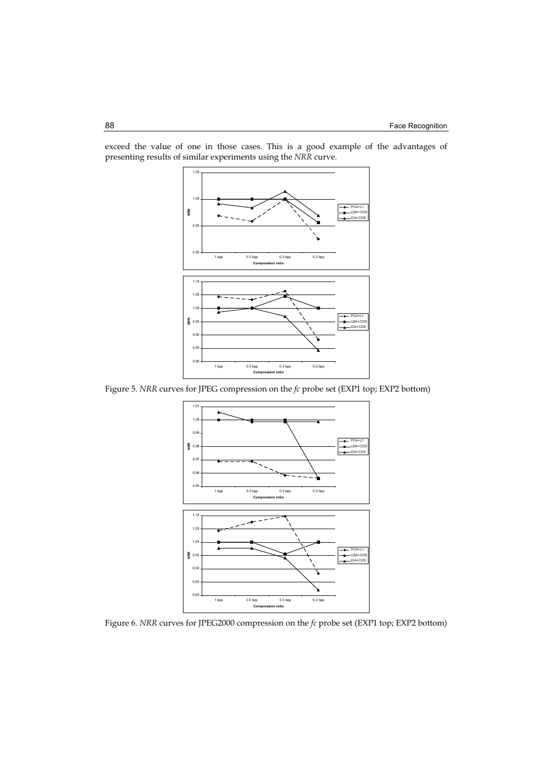

exceed the value of one in those cases. This is a good example of the advantages of presenting results of similar experiments using the *NRR* curve.

Figure 5. *NRR* curves for JPEG compression on the *fc* probe set (EXP1 top; EXP2 bottom)



Figure 6. *NRR* curves for JPEG2000 compression on the *fc* probe set (EXP1 top; EXP2 bottom)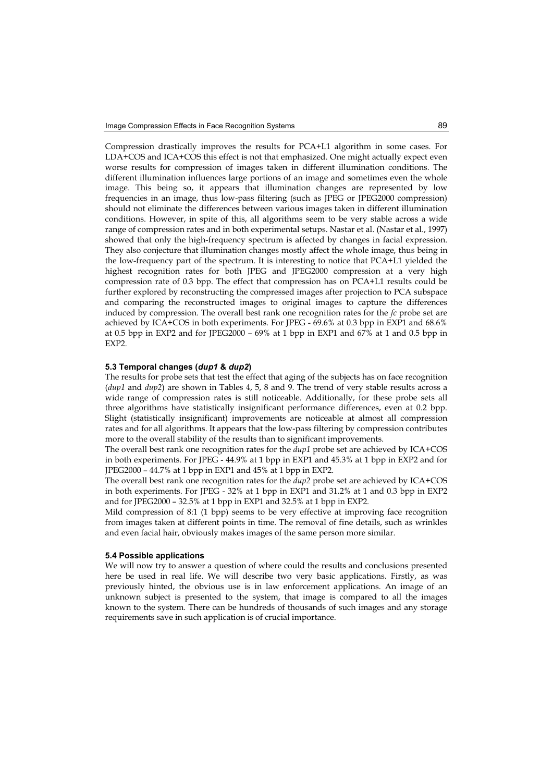Compression drastically improves the results for PCA+L1 algorithm in some cases. For LDA+COS and ICA+COS this effect is not that emphasized. One might actually expect even worse results for compression of images taken in different illumination conditions. The different illumination influences large portions of an image and sometimes even the whole image. This being so, it appears that illumination changes are represented by low frequencies in an image, thus low-pass filtering (such as JPEG or JPEG2000 compression) should not eliminate the differences between various images taken in different illumination conditions. However, in spite of this, all algorithms seem to be very stable across a wide range of compression rates and in both experimental setups. Nastar et al. (Nastar et al., 1997) showed that only the high-frequency spectrum is affected by changes in facial expression. They also conjecture that illumination changes mostly affect the whole image, thus being in the low-frequency part of the spectrum. It is interesting to notice that PCA+L1 yielded the highest recognition rates for both JPEG and JPEG2000 compression at a very high compression rate of 0.3 bpp. The effect that compression has on PCA+L1 results could be further explored by reconstructing the compressed images after projection to PCA subspace and comparing the reconstructed images to original images to capture the differences induced by compression. The overall best rank one recognition rates for the *fc* probe set are achieved by ICA+COS in both experiments. For JPEG - 69.6% at 0.3 bpp in EXP1 and 68.6% at 0.5 bpp in EXP2 and for JPEG2000 –  $69\%$  at 1 bpp in EXP1 and  $67\%$  at 1 and 0.5 bpp in EXP2.

## **5.3 Temporal changes (***dup1* **&** *dup2***)**

The results for probe sets that test the effect that aging of the subjects has on face recognition (*dup1* and *dup2*) are shown in Tables 4, 5, 8 and 9. The trend of very stable results across a wide range of compression rates is still noticeable. Additionally, for these probe sets all three algorithms have statistically insignificant performance differences, even at 0.2 bpp. Slight (statistically insignificant) improvements are noticeable at almost all compression rates and for all algorithms. It appears that the low-pass filtering by compression contributes more to the overall stability of the results than to significant improvements.

The overall best rank one recognition rates for the *dup1* probe set are achieved by ICA+COS in both experiments. For JPEG - 44.9% at 1 bpp in EXP1 and 45.3% at 1 bpp in EXP2 and for JPEG2000 – 44.7% at 1 bpp in EXP1 and 45% at 1 bpp in EXP2.

The overall best rank one recognition rates for the *dup2* probe set are achieved by ICA+COS in both experiments. For JPEG - 32% at 1 bpp in EXP1 and 31.2% at 1 and 0.3 bpp in EXP2 and for JPEG2000 – 32.5% at 1 bpp in EXP1 and 32.5% at 1 bpp in EXP2.

Mild compression of 8:1 (1 bpp) seems to be very effective at improving face recognition from images taken at different points in time. The removal of fine details, such as wrinkles and even facial hair, obviously makes images of the same person more similar.

## **5.4 Possible applications**

We will now try to answer a question of where could the results and conclusions presented here be used in real life. We will describe two very basic applications. Firstly, as was previously hinted, the obvious use is in law enforcement applications. An image of an unknown subject is presented to the system, that image is compared to all the images known to the system. There can be hundreds of thousands of such images and any storage requirements save in such application is of crucial importance.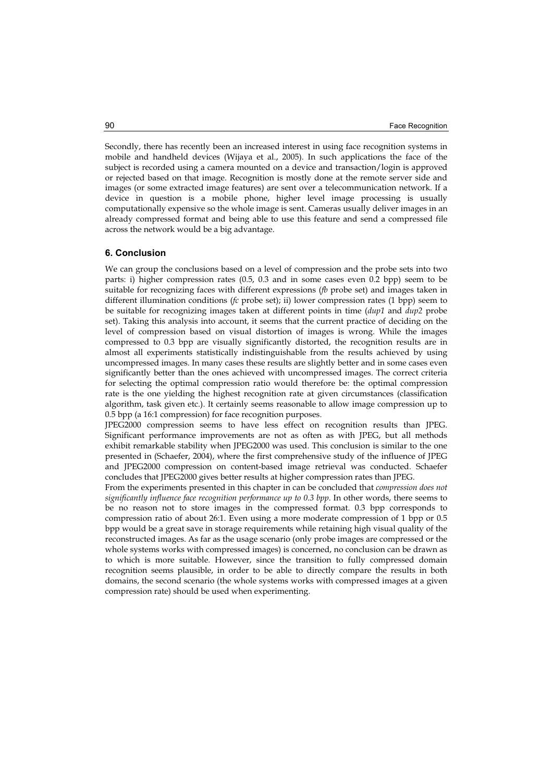Secondly, there has recently been an increased interest in using face recognition systems in mobile and handheld devices (Wijaya et al., 2005). In such applications the face of the subject is recorded using a camera mounted on a device and transaction/login is approved or rejected based on that image. Recognition is mostly done at the remote server side and images (or some extracted image features) are sent over a telecommunication network. If a device in question is a mobile phone, higher level image processing is usually computationally expensive so the whole image is sent. Cameras usually deliver images in an already compressed format and being able to use this feature and send a compressed file across the network would be a big advantage.

### **6. Conclusion**

We can group the conclusions based on a level of compression and the probe sets into two parts: i) higher compression rates (0.5, 0.3 and in some cases even 0.2 bpp) seem to be suitable for recognizing faces with different expressions (*fb* probe set) and images taken in different illumination conditions (*fc* probe set); ii) lower compression rates (1 bpp) seem to be suitable for recognizing images taken at different points in time (*dup1* and *dup2* probe set). Taking this analysis into account, it seems that the current practice of deciding on the level of compression based on visual distortion of images is wrong. While the images compressed to 0.3 bpp are visually significantly distorted, the recognition results are in almost all experiments statistically indistinguishable from the results achieved by using uncompressed images. In many cases these results are slightly better and in some cases even significantly better than the ones achieved with uncompressed images. The correct criteria for selecting the optimal compression ratio would therefore be: the optimal compression rate is the one yielding the highest recognition rate at given circumstances (classification algorithm, task given etc.). It certainly seems reasonable to allow image compression up to 0.5 bpp (a 16:1 compression) for face recognition purposes.

JPEG2000 compression seems to have less effect on recognition results than JPEG. Significant performance improvements are not as often as with JPEG, but all methods exhibit remarkable stability when JPEG2000 was used. This conclusion is similar to the one presented in (Schaefer, 2004), where the first comprehensive study of the influence of JPEG and JPEG2000 compression on content-based image retrieval was conducted. Schaefer concludes that JPEG2000 gives better results at higher compression rates than JPEG.

From the experiments presented in this chapter in can be concluded that *compression does not significantly influence face recognition performance up to 0.3 bpp*. In other words, there seems to be no reason not to store images in the compressed format. 0.3 bpp corresponds to compression ratio of about 26:1. Even using a more moderate compression of 1 bpp or 0.5 bpp would be a great save in storage requirements while retaining high visual quality of the reconstructed images. As far as the usage scenario (only probe images are compressed or the whole systems works with compressed images) is concerned, no conclusion can be drawn as to which is more suitable. However, since the transition to fully compressed domain recognition seems plausible, in order to be able to directly compare the results in both domains, the second scenario (the whole systems works with compressed images at a given compression rate) should be used when experimenting.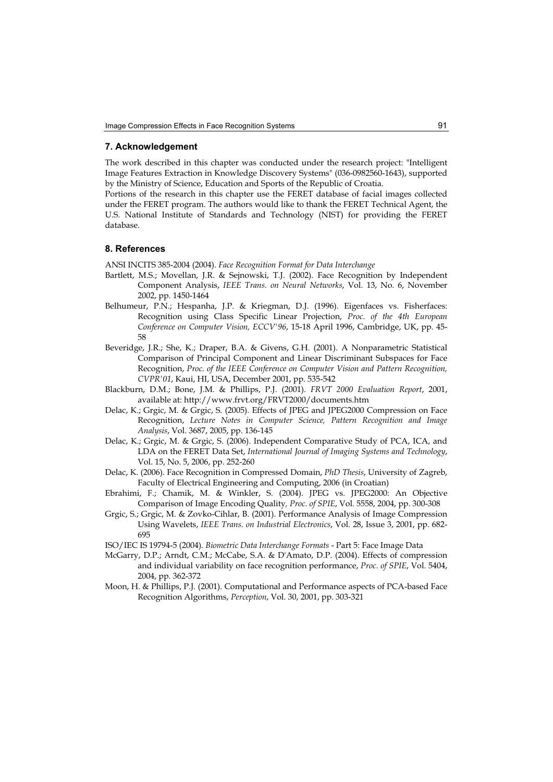# **7. Acknowledgement**

The work described in this chapter was conducted under the research project: "Intelligent Image Features Extraction in Knowledge Discovery Systems" (036-0982560-1643), supported by the Ministry of Science, Education and Sports of the Republic of Croatia.

Portions of the research in this chapter use the FERET database of facial images collected under the FERET program. The authors would like to thank the FERET Technical Agent, the U.S. National Institute of Standards and Technology (NIST) for providing the FERET database.

# **8. References**

ANSI INCITS 385-2004 (2004). *Face Recognition Format for Data Interchange*

- Bartlett, M.S.; Movellan, J.R. & Sejnowski, T.J. (2002). Face Recognition by Independent Component Analysis, *IEEE Trans. on Neural Networks*, Vol. 13, No. 6, November 2002, pp. 1450-1464
- Belhumeur, P.N.; Hespanha, J.P. & Kriegman, D.J. (1996). Eigenfaces vs. Fisherfaces: Recognition using Class Specific Linear Projection, *Proc. of the 4th European Conference on Computer Vision, ECCV'96*, 15-18 April 1996, Cambridge, UK, pp. 45- 58
- Beveridge, J.R.; She, K.; Draper, B.A. & Givens, G.H. (2001). A Nonparametric Statistical Comparison of Principal Component and Linear Discriminant Subspaces for Face Recognition, *Proc. of the IEEE Conference on Computer Vision and Pattern Recognition, CVPR'01*, Kaui, HI, USA, December 2001, pp. 535-542
- Blackburn, D.M.; Bone, J.M. & Phillips, P.J. (2001). *FRVT 2000 Evaluation Report*, 2001, available at: http://www.frvt.org/FRVT2000/documents.htm
- Delac, K.; Grgic, M. & Grgic, S. (2005). Effects of JPEG and JPEG2000 Compression on Face Recognition, *Lecture Notes in Computer Science, Pattern Recognition and Image Analysis*, Vol. 3687, 2005, pp. 136-145
- Delac, K.; Grgic, M. & Grgic, S. (2006). Independent Comparative Study of PCA, ICA, and LDA on the FERET Data Set, *International Journal of Imaging Systems and Technology*, Vol. 15, No. 5, 2006, pp. 252-260
- Delac, K. (2006). Face Recognition in Compressed Domain, *PhD Thesis*, University of Zagreb, Faculty of Electrical Engineering and Computing, 2006 (in Croatian)
- Ebrahimi, F.; Chamik, M. & Winkler, S. (2004). JPEG vs. JPEG2000: An Objective Comparison of Image Encoding Quality*, Proc. of SPIE*, Vol. 5558, 2004, pp. 300-308
- Grgic, S.; Grgic, M. & Zovko-Cihlar, B. (2001). Performance Analysis of Image Compression Using Wavelets, *IEEE Trans. on Industrial Electronics*, Vol. 28, Issue 3, 2001, pp. 682- 695

ISO/IEC IS 19794-5 (2004). *Biometric Data Interchange Formats* - Part 5: Face Image Data

- McGarry, D.P.; Arndt, C.M.; McCabe, S.A. & D'Amato, D.P. (2004). Effects of compression and individual variability on face recognition performance, *Proc. of SPIE*, Vol. 5404, 2004, pp. 362-372
- Moon, H. & Phillips, P.J. (2001). Computational and Performance aspects of PCA-based Face Recognition Algorithms, *Perception*, Vol. 30, 2001, pp. 303-321